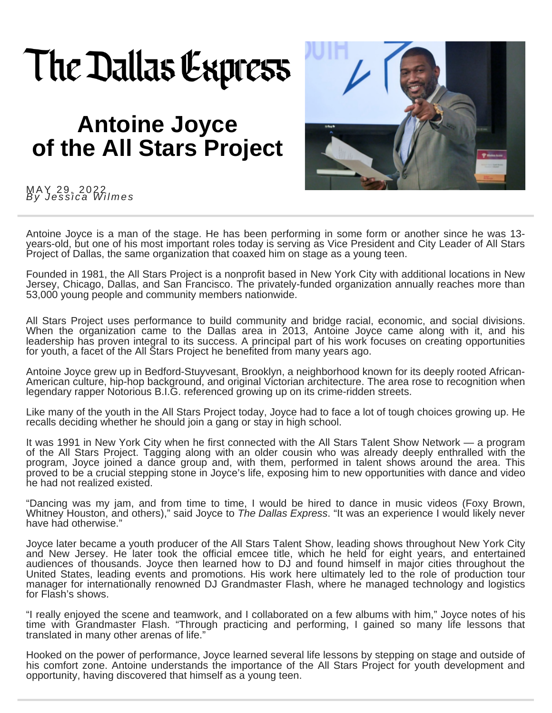## The Dallas Express

## **Antoine Joyce of the All Stars Project**



MAY 29, 2022 *By J e s s i c a Wi l m e s*

Antoine Joyce is a man of the stage. He has been performing in some form or another since he was 13 years-old, but one of his most important roles today is serving as Vice President and City Leader of All Stars Project of Dallas, the same organization that coaxed him on stage as a young teen.

Founded in 1981, the All Stars Project is a [nonprofit](https://allstars.org/) based in New York City with additional locations in New Jersey, Chicago, Dallas, and San Francisco. The privately-funded organization annually reaches more than 53,000 young people and community members nationwide.

All Stars Project uses performance to build community and bridge racial, economic, and social divisions. When the organization came to the Dallas area in 2013, Antoine Joyce came along with it, and his leadership has proven integral to its success. A principal part of his work focuses on creating opportunities for youth, a facet of the All Stars Project he benefited from many years ago.

Antoine Joyce grew up in Bedford-Stuyvesant, Brooklyn, a neighborhood known for its deeply rooted African-American culture, hip-hop background, and original Victorian architecture. The area rose to recognition when legendary rapper Notorious B.I.G. referenced growing up on its crime-ridden streets.

Like many of the youth in the All Stars Project today, Joyce had to face a lot of tough choices growing up. He recalls deciding whether he should join a gang or stay in high school.

It was 1991 in New York City when he first connected with the All Stars Talent Show Network — a program of the All Stars Project. Tagging along with an older cousin who was already deeply enthralled with the program, Joyce joined a dance group and, with them, performed in talent shows around the area. This proved to be a crucial stepping stone in Joyce's life, exposing him to new opportunities with dance and video he had not realized existed.

"Dancing was my jam, and from time to time, I would be hired to dance in music videos (Foxy Brown, Whitney Houston, and others)," said Joyce to *The Dallas [Express](https://dallasexpress.com/category/profiles/)*. "It was an experience I would likely never have had otherwise."

Joyce later became a youth producer of the All Stars Talent Show, leading shows throughout New York City and New Jersey. He later took the official emcee title, which he held for eight years, and entertained audiences of thousands. Joyce then learned how to DJ and found himself in major cities throughout the United States, leading events and promotions. His work here ultimately led to the role of production tour manager for internationally renowned DJ Grandmaster Flash, where he managed technology and logistics for Flash's shows.

"I really enjoyed the scene and teamwork, and I collaborated on a few albums with him," Joyce notes of his time with Grandmaster Flash. "Through practicing and performing, I gained so many life lessons that translated in many other arenas of life."

Hooked on the power of performance, Joyce learned several life lessons by stepping on stage and outside of his comfort zone. Antoine understands the importance of the All Stars Project for youth development and opportunity, having discovered that himself as a young teen.